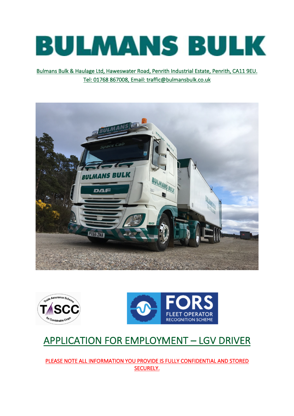

Bulmans Bulk & Haulage Ltd, Haweswater Road, Penrith Industrial Estate, Penrith, CA11 9EU. Tel: 01768 867008, Email: traffic@bulmansbulk.co.uk







# APPLICATION FOR EMPLOYMENT – LGV DRIVER

PLEASE NOTE ALL INFORMATION YOU PROVIDE IS FULLY CONFIDENTIAL AND STORED SECURELY.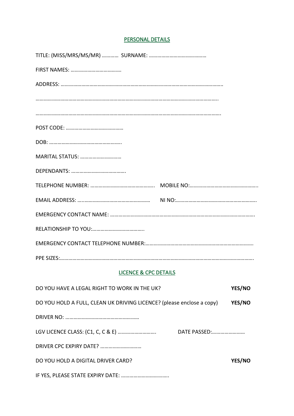## PERSONAL DETAILS

| MARITAL STATUS: |  |
|-----------------|--|
|                 |  |
|                 |  |
|                 |  |
|                 |  |
|                 |  |
|                 |  |
|                 |  |

## LICENCE & CPC DETAILS

| DO YOU HAVE A LEGAL RIGHT TO WORK IN THE UK?                          |              | <b>YES/NO</b> |
|-----------------------------------------------------------------------|--------------|---------------|
| DO YOU HOLD A FULL, CLEAN UK DRIVING LICENCE? (please enclose a copy) |              | <b>YES/NO</b> |
|                                                                       |              |               |
|                                                                       | DATE PASSED: |               |
|                                                                       |              |               |
| DO YOU HOLD A DIGITAL DRIVER CARD?                                    |              | <b>YES/NO</b> |
|                                                                       |              |               |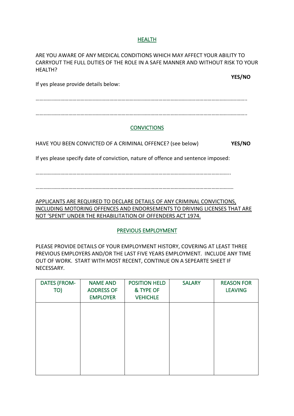#### HEALTH

ARE YOU AWARE OF ANY MEDICAL CONDITIONS WHICH MAY AFFECT YOUR ABILITY TO CARRYOUT THE FULL DUTIES OF THE ROLE IN A SAFE MANNER AND WITHOUT RISK TO YOUR HEALTH?

**YES/NO**

If yes please provide details below:

………………………………………………………………………………………………………………………………………..

………………………………………………………………………………………………………………………………………..

#### **CONVICTIONS**

HAVE YOU BEEN CONVICTED OF A CRIMINAL OFFENCE? (see below) **YES/NO**

If yes please specify date of conviction, nature of offence and sentence imposed:

……………………………………………………………………………………………………………………………..

……………………………………………………………………………………………………………………………….

APPLICANTS ARE REQUIRED TO DECLARE DETAILS OF ANY CRIMINAL CONVICTIONS, INCLUDING MOTORING OFFENCES AND ENDORSEMENTS TO DRIVING LICENSES THAT ARE NOT 'SPENT' UNDER THE REHABILITATION OF OFFENDERS ACT 1974.

#### PREVIOUS EMPLOYMENT

PLEASE PROVIDE DETAILS OF YOUR EMPLOYMENT HISTORY, COVERING AT LEAST THREE PREVIOUS EMPLOYERS AND/OR THE LAST FIVE YEARS EMPLOYMENT. INCLUDE ANY TIME OUT OF WORK. START WITH MOST RECENT, CONTINUE ON A SEPEARTE SHEET IF NECESSARY.

| <b>DATES (FROM-</b> | <b>NAME AND</b>   | <b>POSITION HELD</b> | <b>SALARY</b> | <b>REASON FOR</b> |
|---------------------|-------------------|----------------------|---------------|-------------------|
| TO)                 | <b>ADDRESS OF</b> | & TYPE OF            |               | <b>LEAVING</b>    |
|                     | <b>EMPLOYER</b>   | <b>VEHICHLE</b>      |               |                   |
|                     |                   |                      |               |                   |
|                     |                   |                      |               |                   |
|                     |                   |                      |               |                   |
|                     |                   |                      |               |                   |
|                     |                   |                      |               |                   |
|                     |                   |                      |               |                   |
|                     |                   |                      |               |                   |
|                     |                   |                      |               |                   |
|                     |                   |                      |               |                   |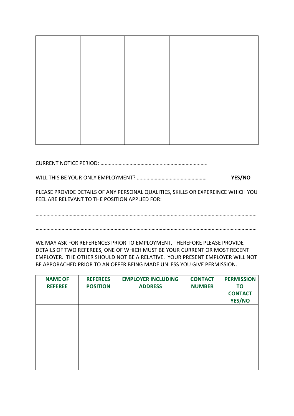CURRENT NOTICE PERIOD: ………..………………………………………………………….

WILL THIS BE YOUR ONLY EMPLOYMENT? …………………………………………… **YES/NO**

PLEASE PROVIDE DETAILS OF ANY PERSONAL QUALITIES, SKILLS OR EXPEREINCE WHICH YOU FEEL ARE RELEVANT TO THE POSITION APPLIED FOR:

………………………………………………………………………………………………………………………………………………

………………………………………………………………………………………………………………………………………………

WE MAY ASK FOR REFERENCES PRIOR TO EMPLOYMENT, THEREFORE PLEASE PROVIDE DETAILS OF TWO REFEREES, ONE OF WHICH MUST BE YOUR CURRENT OR MOST RECENT EMPLOYER. THE OTHER SHOULD NOT BE A RELATIVE. YOUR PRESENT EMPLOYER WILL NOT BE APPORACHED PRIOR TO AN OFFER BEING MADE UNLESS YOU GIVE PERMISSION.

| <b>NAME OF</b><br><b>REFEREE</b> | <b>REFEREES</b><br><b>POSITION</b> | <b>EMPLOYER INCLUDING</b><br><b>ADDRESS</b> | <b>CONTACT</b><br><b>NUMBER</b> | <b>PERMISSION</b><br><b>TO</b><br><b>CONTACT</b><br>YES/NO |
|----------------------------------|------------------------------------|---------------------------------------------|---------------------------------|------------------------------------------------------------|
|                                  |                                    |                                             |                                 |                                                            |
|                                  |                                    |                                             |                                 |                                                            |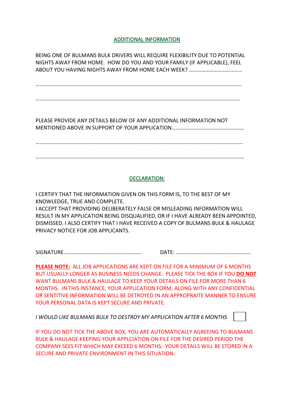#### ADDITIONAL INFORMATION

BEING ONE OF BULMANS BULK DRIVERS WILL REQUIRE FLEXIBILITY DUE TO POTENTIAL NIGHTS AWAY FROM HOME. HOW DO YOU AND YOUR FAMILY (IF APPLICABLE), FEEL ABOUT YOU HAVING NIGHTS AWAY FROM HOME EACH WEEK? …………………………………

…………………………………………………………………………………………………………………………………….

……………………………………………………………………………………………………………………………………

PLEASE PROVIDE ANY DETAILS BELOW OF ANY ADDITIONAL INFORMATION NOT MENTIONED ABOVE IN SUPPORT OF YOUR APPLICATION……………………………………………..

……………………………………………………………………………………………………………………………………..

………………………………………………………………………………………………………………………………………

#### DECLARATION:

I CERTIFY THAT THE INFORMATION GIVEN ON THIS FORM IS, TO THE BEST OF MY KNOWLEDGE, TRUE AND COMPLETE. I ACCEPT THAT PROVIDING DELIBERATELY FALSE OR MISLEADING INFORMATION WILL RESULT IN MY APPLICATION BEING DISQUALIFIED, OR IF I HAVE ALREADY BEEN APPOINTED, DISMISSED. I ALSO CERTIFY THAT I HAVE RECEIVED A COPY OF BULMANS BULK & HAULAGE PRIVACY NOTICE FOR JOB APPLICANTS.

SIGNATURE………………………………………………… DATE: ……………………………………………….

**PLEASE NOTE:** ALL JOB APPLICATIONS ARE KEPT ON FILE FOR A MINIMUM OF 6 MONTHS BUT USUALLY LONGER AS BUSINESS NEEDS CHANGE. PLEASE TICK THE BOX IF YOU **DO NOT** WANT BULMANS BULK & HAULAGE TO KEEP YOUR DETAILS ON FILE FOR MORE THAN 6 MONTHS. IN THIS INSTANCE, YOUR APPLICATION FORM, ALONG WITH ANY CONFIDENTIAL OR SENTITIVE INFORMATION WILL BE DETROYED IN AN APPROPRAITE MANNER TO ENSURE YOUR PERSONAL DATA IS KEPT SECURE AND PRIVATE.

*I WOULD LIKE BULMANS BULK TO DESTROY MY APPLICATION AFTER 6 MONTHS*

IF YOU DO NOT TICK THE ABOVE BOX, YOU ARE AUTOMATICALLY AGREEING TO BULMANS BULK & HAULAGE KEEPING YOUR APPLCIATION ON FILE FOR THE DESIRED PERIOD THE COMPANY SEES FIT WHICH MAY EXCEED 6 MONTHS. YOUR DETAILS WILL BE STORED IN A SECURE AND PRIVATE ENVIRONMENT IN THIS SITUATION.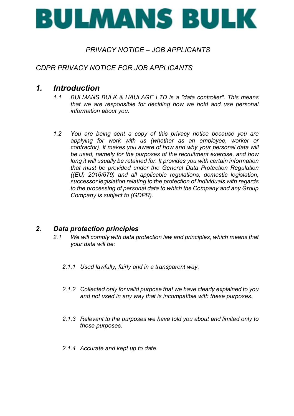

# *PRIVACY NOTICE – JOB APPLICANTS*

# *GDPR PRIVACY NOTICE FOR JOB APPLICANTS*

# *1. Introduction*

- *1.1 BULMANS BULK & HAULAGE LTD is a "data controller". This means that we are responsible for deciding how we hold and use personal information about you.*
- *1.2 You are being sent a copy of this privacy notice because you are applying for work with us (whether as an employee, worker or contractor). It makes you aware of how and why your personal data will be used, namely for the purposes of the recruitment exercise, and how long it will usually be retained for. It provides you with certain information that must be provided under the General Data Protection Regulation ((EU) 2016/679) and all applicable regulations, domestic legislation, successor legislation relating to the protection of individuals with regards to the processing of personal data to which the Company and any Group Company is subject to (GDPR).*

## *2. Data protection principles*

- *2.1 We will comply with data protection law and principles, which means that your data will be:*
	- *2.1.1 Used lawfully, fairly and in a transparent way.*
	- *2.1.2 Collected only for valid purpose that we have clearly explained to you and not used in any way that is incompatible with these purposes.*
	- *2.1.3 Relevant to the purposes we have told you about and limited only to those purposes.*
	- *2.1.4 Accurate and kept up to date.*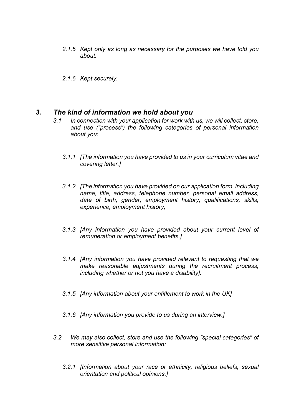- *2.1.5 Kept only as long as necessary for the purposes we have told you about.*
- *2.1.6 Kept securely.*

## *3. The kind of information we hold about you*

- *3.1 In connection with your application for work with us, we will collect, store, and use ("process") the following categories of personal information about you:*
	- *3.1.1 [The information you have provided to us in your curriculum vitae and covering letter.]*
	- *3.1.2 [The information you have provided on our application form, including name, title, address, telephone number, personal email address, date of birth, gender, employment history, qualifications, skills, experience, employment history;*
	- *3.1.3 [Any information you have provided about your current level of remuneration or employment benefits.]*
	- *3.1.4 [Any information you have provided relevant to requesting that we make reasonable adjustments during the recruitment process, including whether or not you have a disability].*
	- *3.1.5 [Any information about your entitlement to work in the UK]*
	- *3.1.6 [Any information you provide to us during an interview.]*
- *3.2 We may also collect, store and use the following "special categories" of more sensitive personal information:*
	- *3.2.1 [Information about your race or ethnicity, religious beliefs, sexual orientation and political opinions.]*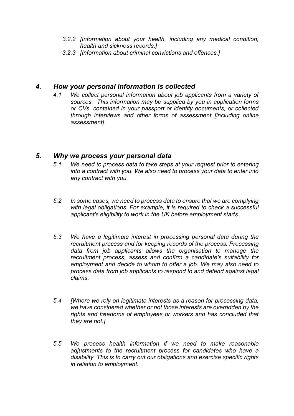- *3.2.2 [Information about your health, including any medical condition, health and sickness records.]*
- *3.2.3 [Information about criminal convictions and offences.]*

## *4. How your personal information is collected*

*4.1 We collect personal information about job applicants from a variety of sources. This information may be supplied by you in application forms or CVs, contained in your passport or identity documents, or collected through interviews and other forms of assessment [including online assessment].*

## *5. Why we process your personal data*

- *5.1 We need to process data to take steps at your request prior to entering into a contract with you. We also need to process your data to enter into any contract with you.*
- *5.2 In some cases, we need to process data to ensure that we are complying with legal obligations. For example, it is required to check a successful applicant's eligibility to work in the UK before employment starts.*
- *5.3 We have a legitimate interest in processing personal data during the recruitment process and for keeping records of the process. Processing data from job applicants allows the organisation to manage the recruitment process, assess and confirm a candidate's suitability for employment and decide to whom to offer a job. We may also need to process data from job applicants to respond to and defend against legal claims.*
- *5.4 [Where we rely on legitimate interests as a reason for processing data, we have considered whether or not those interests are overridden by the rights and freedoms of employees or workers and has concluded that they are not.]*
- *5.5 We process health information if we need to make reasonable adjustments to the recruitment process for candidates who have a disability. This is to carry out our obligations and exercise specific rights in relation to employment.*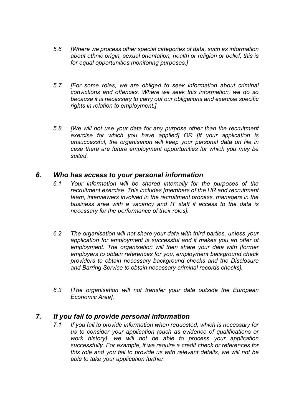- *5.6 [Where we process other special categories of data, such as information about ethnic origin, sexual orientation, health or religion or belief, this is for equal opportunities monitoring purposes.]*
- *5.7 [For some roles, we are obliged to seek information about criminal convictions and offences. Where we seek this information, we do so because it is necessary to carry out our obligations and exercise specific rights in relation to employment.]*
- *5.8 [We will not use your data for any purpose other than the recruitment exercise for which you have applied] OR [If your application is unsuccessful, the organisation will keep your personal data on file in case there are future employment opportunities for which you may be suited.*

## *6. Who has access to your personal information*

- *6.1 Your information will be shared internally for the purposes of the recruitment exercise. This includes [members of the HR and recruitment team, interviewers involved in the recruitment process, managers in the business area with a vacancy and IT staff if access to the data is necessary for the performance of their roles].*
- *6.2 The organisation will not share your data with third parties, unless your application for employment is successful and it makes you an offer of employment. The organisation will then share your data with [former employers to obtain references for you, employment background check providers to obtain necessary background checks and the Disclosure and Barring Service to obtain necessary criminal records checks].*
- *6.3 [The organisation will not transfer your data outside the European Economic Area].*

## *7. If you fail to provide personal information*

*7.1 If you fail to provide information when requested, which is necessary for us to consider your application (such as evidence of qualifications or work history), we will not be able to process your application successfully. For example, if we require a credit check or references for this role and you fail to provide us with relevant details, we will not be able to take your application further.*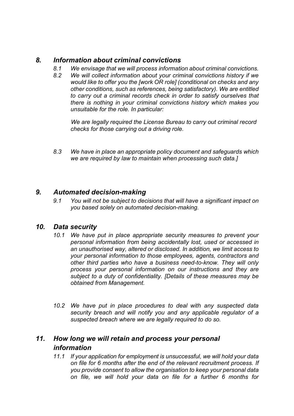# *8. Information about criminal convictions*

- *8.1 We envisage that we will process information about criminal convictions.*
- *8.2 We will collect information about your criminal convictions history if we would like to offer you the [work OR role] (conditional on checks and any other conditions, such as references, being satisfactory). We are entitled to carry out a criminal records check in order to satisfy ourselves that there is nothing in your criminal convictions history which makes you unsuitable for the role. In particular:*

*We are legally required the License Bureau to carry out criminal record checks for those carrying out a driving role.*

*8.3 We have in place an appropriate policy document and safeguards which we are required by law to maintain when processing such data.]*

## *9. Automated decision-making*

*9.1 You will not be subject to decisions that will have a significant impact on you based solely on automated decision-making.*

## *10. Data security*

- *10.1 We have put in place appropriate security measures to prevent your personal information from being accidentally lost, used or accessed in an unauthorised way, altered or disclosed. In addition, we limit access to your personal information to those employees, agents, contractors and other third parties who have a business need-to-know. They will only process your personal information on our instructions and they are subject to a duty of confidentiality. [Details of these measures may be obtained from Management.*
- *10.2 We have put in place procedures to deal with any suspected data security breach and will notify you and any applicable regulator of a suspected breach where we are legally required to do so.*

# *11. How long we will retain and process your personal information*

*11.1 If your application for employment is unsuccessful, we will hold your data on file for 6 months after the end of the relevant recruitment process. If you provide consent to allow the organisation to keep your personal data on file, we will hold your data on file for a further 6 months for*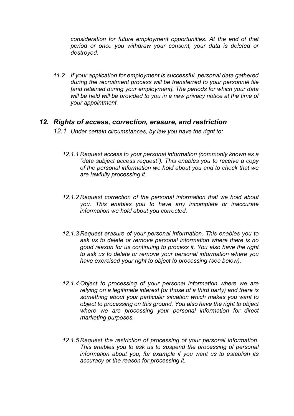*consideration for future employment opportunities. At the end of that period or once you withdraw your consent, your data is deleted or destroyed.*

*11.2 If your application for employment is successful, personal data gathered during the recruitment process will be transferred to your personnel file [and retained during your employment]. The periods for which your data*  will be held will be provided to you in a new privacy notice at the time of *your appointment.*

## *12. Rights of access, correction, erasure, and restriction*

- *12.1 Under certain circumstances, by law you have the right to:*
	- *12.1.1 Request access to your personal information (commonly known as a "data subject access request"). This enables you to receive a copy of the personal information we hold about you and to check that we are lawfully processing it.*
	- *12.1.2 Request correction of the personal information that we hold about you. This enables you to have any incomplete or inaccurate information we hold about you corrected.*
	- *12.1.3 Request erasure of your personal information. This enables you to ask us to delete or remove personal information where there is no good reason for us continuing to process it. You also have the right to ask us to delete or remove your personal information where you have exercised your right to object to processing (see below).*
	- *12.1.4 Object to processing of your personal information where we are relying on a legitimate interest (or those of a third party) and there is something about your particular situation which makes you want to object to processing on this ground. You also have the right to object where we are processing your personal information for direct marketing purposes.*
	- *12.1.5 Request the restriction of processing of your personal information. This enables you to ask us to suspend the processing of personal information about you, for example if you want us to establish its accuracy or the reason for processing it.*